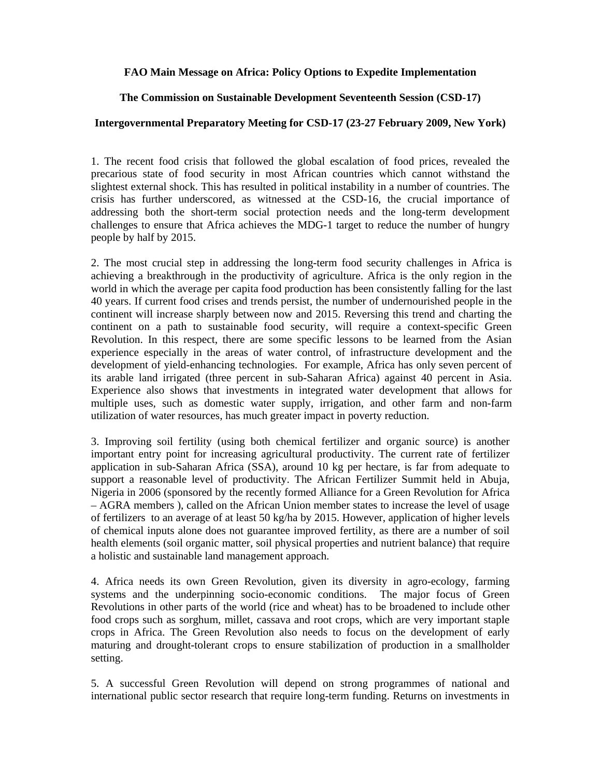## **FAO Main Message on Africa: Policy Options to Expedite Implementation**

## **The Commission on Sustainable Development Seventeenth Session (CSD-17)**

## **Intergovernmental Preparatory Meeting for CSD-17 (23-27 February 2009, New York)**

1. The recent food crisis that followed the global escalation of food prices, revealed the precarious state of food security in most African countries which cannot withstand the slightest external shock. This has resulted in political instability in a number of countries. The crisis has further underscored, as witnessed at the CSD-16, the crucial importance of addressing both the short-term social protection needs and the long-term development challenges to ensure that Africa achieves the MDG-1 target to reduce the number of hungry people by half by 2015.

2. The most crucial step in addressing the long-term food security challenges in Africa is achieving a breakthrough in the productivity of agriculture. Africa is the only region in the world in which the average per capita food production has been consistently falling for the last 40 years. If current food crises and trends persist, the number of undernourished people in the continent will increase sharply between now and 2015. Reversing this trend and charting the continent on a path to sustainable food security, will require a context-specific Green Revolution. In this respect, there are some specific lessons to be learned from the Asian experience especially in the areas of water control, of infrastructure development and the development of yield-enhancing technologies. For example, Africa has only seven percent of its arable land irrigated (three percent in sub-Saharan Africa) against 40 percent in Asia. Experience also shows that investments in integrated water development that allows for multiple uses, such as domestic water supply, irrigation, and other farm and non-farm utilization of water resources, has much greater impact in poverty reduction.

3. Improving soil fertility (using both chemical fertilizer and organic source) is another important entry point for increasing agricultural productivity. The current rate of fertilizer application in sub-Saharan Africa (SSA), around 10 kg per hectare, is far from adequate to support a reasonable level of productivity. The African Fertilizer Summit held in Abuja, Nigeria in 2006 (sponsored by the recently formed Alliance for a Green Revolution for Africa – AGRA members ), called on the African Union member states to increase the level of usage of fertilizers to an average of at least 50 kg/ha by 2015. However, application of higher levels of chemical inputs alone does not guarantee improved fertility, as there are a number of soil health elements (soil organic matter, soil physical properties and nutrient balance) that require a holistic and sustainable land management approach.

4. Africa needs its own Green Revolution, given its diversity in agro-ecology, farming systems and the underpinning socio-economic conditions. The major focus of Green Revolutions in other parts of the world (rice and wheat) has to be broadened to include other food crops such as sorghum, millet, cassava and root crops, which are very important staple crops in Africa. The Green Revolution also needs to focus on the development of early maturing and drought-tolerant crops to ensure stabilization of production in a smallholder setting.

5. A successful Green Revolution will depend on strong programmes of national and international public sector research that require long-term funding. Returns on investments in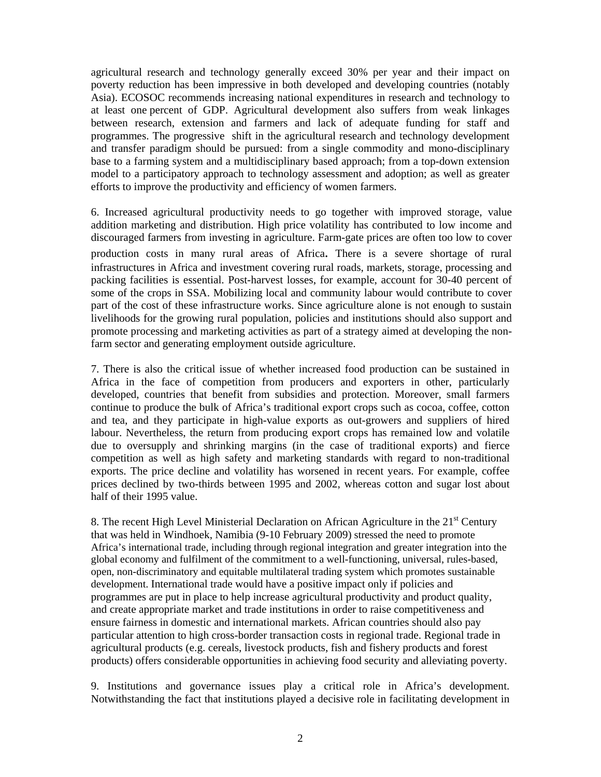agricultural research and technology generally exceed 30% per year and their impact on poverty reduction has been impressive in both developed and developing countries (notably Asia). ECOSOC recommends increasing national expenditures in research and technology to at least one percent of GDP. Agricultural development also suffers from weak linkages between research, extension and farmers and lack of adequate funding for staff and programmes. The progressive shift in the agricultural research and technology development and transfer paradigm should be pursued: from a single commodity and mono-disciplinary base to a farming system and a multidisciplinary based approach; from a top-down extension model to a participatory approach to technology assessment and adoption; as well as greater efforts to improve the productivity and efficiency of women farmers.

6. Increased agricultural productivity needs to go together with improved storage, value addition marketing and distribution. High price volatility has contributed to low income and discouraged farmers from investing in agriculture. Farm-gate prices are often too low to cover production costs in many rural areas of Africa. There is a severe shortage of rural infrastructures in Africa and investment covering rural roads, markets, storage, processing and packing facilities is essential. Post-harvest losses, for example, account for 30-40 percent of some of the crops in SSA. Mobilizing local and community labour would contribute to cover part of the cost of these infrastructure works. Since agriculture alone is not enough to sustain livelihoods for the growing rural population, policies and institutions should also support and promote processing and marketing activities as part of a strategy aimed at developing the nonfarm sector and generating employment outside agriculture.

7. There is also the critical issue of whether increased food production can be sustained in Africa in the face of competition from producers and exporters in other, particularly developed, countries that benefit from subsidies and protection. Moreover, small farmers continue to produce the bulk of Africa's traditional export crops such as cocoa, coffee, cotton and tea, and they participate in high-value exports as out-growers and suppliers of hired labour. Nevertheless, the return from producing export crops has remained low and volatile due to oversupply and shrinking margins (in the case of traditional exports) and fierce competition as well as high safety and marketing standards with regard to non-traditional exports. The price decline and volatility has worsened in recent years. For example, coffee prices declined by two-thirds between 1995 and 2002, whereas cotton and sugar lost about half of their 1995 value.

8. The recent High Level Ministerial Declaration on African Agriculture in the  $21<sup>st</sup>$  Century that was held in Windhoek, Namibia (9-10 February 2009) stressed the need to promote Africa's international trade, including through regional integration and greater integration into the global economy and fulfilment of the commitment to a well-functioning, universal, rules-based, open, non-discriminatory and equitable multilateral trading system which promotes sustainable development. International trade would have a positive impact only if policies and programmes are put in place to help increase agricultural productivity and product quality, and create appropriate market and trade institutions in order to raise competitiveness and ensure fairness in domestic and international markets. African countries should also pay particular attention to high cross-border transaction costs in regional trade. Regional trade in agricultural products (e.g. cereals, livestock products, fish and fishery products and forest products) offers considerable opportunities in achieving food security and alleviating poverty.

9. Institutions and governance issues play a critical role in Africa's development. Notwithstanding the fact that institutions played a decisive role in facilitating development in